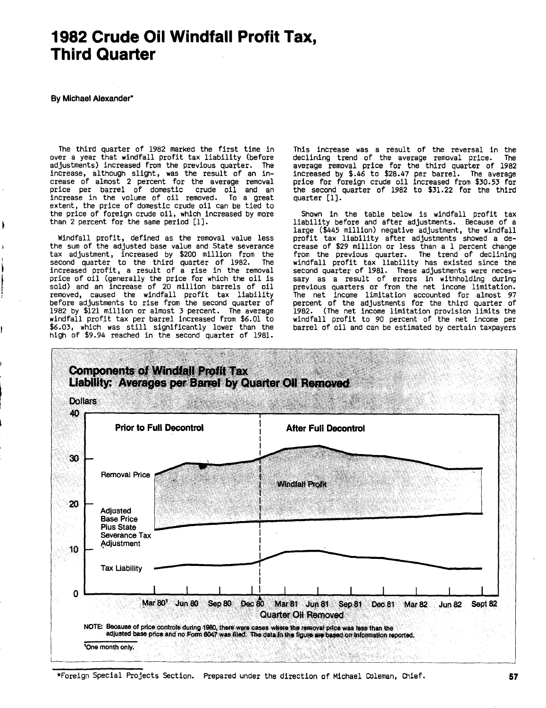# **1982** Crude Oil Windfall Profit Tax, Third Quarter

**By** Michael Alexander\*

The third quarter of **<sup>1982</sup>** marked the first time in over <sup>a</sup> year that windfall profit tax liability (before adjustments) increased from the previous quarter. The<br>increase, although slight, was the result of an increase of almost <sup>2</sup> percent for the average removal price per barrel of domestic crude oil and an increase in the volume of oil removed. To <sup>a</sup> great extent, the price of domestic crude oil can be tied to the price of foreign crude oil, which increased **by** more than <sup>2</sup> percent for the same period **[1).**

Windfall profit, defined as the removal value less the sum of the adjusted base value and State severance tax adjustment, increased **by** \$200 million from the second quarter to the third quarter of **1982.** The increased profit, <sup>a</sup> result of <sup>a</sup> rise in the removal price of oil (generally the price for which the oil is sold) and an increase of <sup>20</sup> million barrels of oil removed, caused the windfall profit tax liability before adjustments to rise from the second quarter of **1982 by** \$121 million or almost **<sup>3</sup>** percent. The average windfall profit tax per barrel increased from **\$6.01** to **\$6.03,** which was still significantly lower than the high of \$9.94 reached in the second quarter of **1981.**

This increase was <sup>a</sup> result of the reversal in the declining trend of the average removal price. The average removal price for the third quarter of **<sup>1982</sup>** increased **by** \$.46 to **\$28.47** per barrel. The average price for foreign crude oil increased from **\$30.53** for the second quarter of **<sup>1982</sup>** to **\$31.22** for the third quarter **Ell.**

Shown in the table below is windfall profit tax liability before and after adjustments. Because of a large (\$445 million) negative adjustment, the windfall profit tax liability after adjustments showed <sup>a</sup> decrease of **\$29** million or less than <sup>a</sup> **<sup>1</sup>** percent change from the previous quarter. The trend of declining windfall profit tax liability has existed since the second quarter of **1981.** These adjustments were necessary as <sup>a</sup> result of errors in withholding during previous quarters or from the net income limitation. The net income limitation accounted for almost **<sup>97</sup>** percent of the adjustments for the third quarter of **1982.** (The net income limitation provision limits the windfall profit to **<sup>90</sup>** percent of the net income per barrel of oil and can be estimated **by** certain taxpayers



\*Foreign Special Projects Section. Prepared under the direction of Mi&ael Coleman, Chief. **57**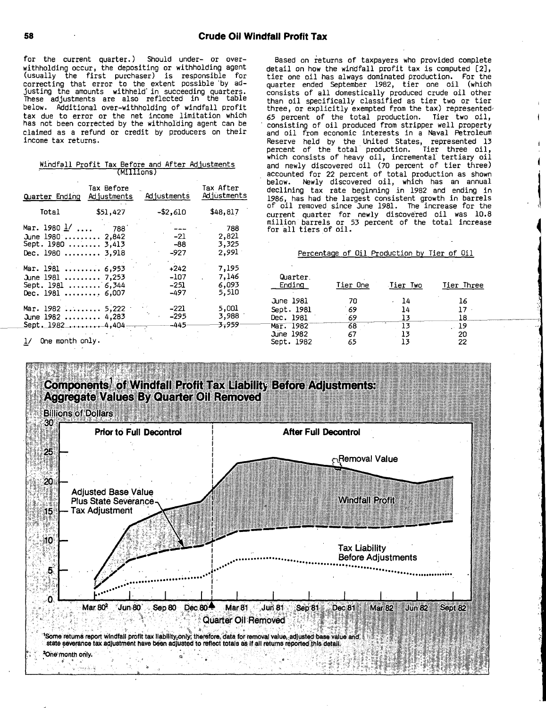for the current quarter.) Should under- or overwithholding occur, the depositing or withholding agent (usually the first purchaser) is responsible for correcting that error to the extent possible **'by** ad-justing the amounts withheld' in succeeding quarters. These adjustments are also reflected in the table below. Additional over-withholding of windfall profit tax due to error or the net income limitation which has not been corrected **by** the withholding agent can be claimed as <sup>a</sup> refund or credit **by** producers on their income tax returns.

#### Windfall Profit Tax Before and After AdJustments (MIIIIons)

| Quarter Ending                                                                 | Tax Before<br>Adjustments | Adjustments                      | Tax After<br>Adjustments         |
|--------------------------------------------------------------------------------|---------------------------|----------------------------------|----------------------------------|
| Total                                                                          | \$51,427                  | -\$2,610                         | \$48,817                         |
| Mar. 1980 $1/$<br>June 1980  2,842<br>Sept. 1980  3,413<br>Dec. 1980  3.918    | 788                       | $-21$<br>-88<br>-927             | 788<br>2,821<br>3,325<br>2,991   |
| Mar. 1981  6,953<br>June 1981  7,253<br>Sept. 1981  6,344<br>Dec. $1981$ 6,007 |                           | $+242$<br>$-107$<br>-251<br>-497 | 7,195<br>7,146<br>6,093<br>5,510 |
| Mar. 1982<br>June 1982  4,283<br>Sept. 19824,404                               | 5,222                     | -221<br>$-295$<br>-445           | 5,001<br>3,988<br>3,959          |

Based on returns of taxpayers who provided complete detail on how the windfall profit tax is computed [21, tier one oil has always dominated production. For the quarter ended September **1982,** tier one oil (which consists of all domestically produced crude oil other than oil specifically classified as tier two or tier three, or explicitly exempted from the tax) represented, **<sup>65</sup>** percent of the total production. Tier two oil, consisting of oil produced from stripper well property and oil from economic interests in <sup>a</sup> Naval Petroleum Reserve held **by** the United States, represented **13** percent of the total production. Tier three oil, which consists of heavy oil, incremental: tertiary oil and newly discovered oil **(70** percent of tier three) accounted for <sup>22</sup> percent of total production as shown below. Newly discovered oil, which has an annual declining tax rate beginning in **1982** and ending in **1986,** has had the largest consistent growth in barrels **of** oil removed since June **1981.** The increase for the current quarter for newly discovered oil was **10.8** million barrels or 53 percent of the total increase<br>for all tiers of oil.

#### Percentage of Oil Production **by** Tier of Oil

| Quarter.<br>Ending | Tier One | Tier Two | Tier Three |
|--------------------|----------|----------|------------|
| June 1981          | 70       | 14       | 16         |
| Sept. 1981         | 69       | 14       | 17         |
| Dec. 1981          | 69       | 13       | 18         |
| Mar. 1982          | 68       | 13       | . 19       |
| <b>June 1982</b>   | 67       | 13       | 20         |
| Sept. 1982         | 65       | 13       | 22         |

**I**

Components,**'** of Windfall Profit Tax Liabilit~ Before Adjustments: Aggregate Values **By** Quarter Oil Removed Billions of Dollars 30 Prior to Full Decontrol After Full Decontrol 25 <sub>ന</sub>Removal Value 20 Adjusted Base Vallue **Plus State Severance Windfall Profit** Tax Adjustment  $15$ r-10 Tax Liability **Before Adjustments ....................** 5 **................ ; ...... ................... I** ٥ MarW Jun **<sup>80</sup>** Sep **<sup>80</sup>** Dec 804 Mar **<sup>81</sup>** Jun **<sup>81</sup>** Dec **81** Mar **82** Jun **82** Sept **82** Sep **81** Quarter Oil Removed

'Some returns,report windfall profit tax liability-only; therefore, data for removal value, adjusted base value and state severance tax adjustment have been adjusted to reflect totals as if all returns reported this detail.

2One month only.

فأكلا لأستك

**I/** One month only.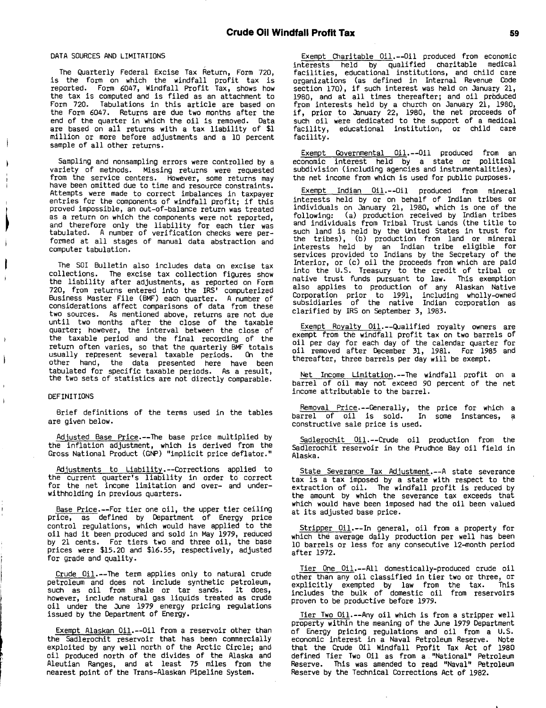#### **DATA SOURCES AND** LIMITATIONS

The Quarterly Federal Excise Tax Return, Form **720,** is the form on which the windfall profit tax is reported. Form 6047, Windfall Profit Tax, shows how the tax is computed and is filed as an attachment to Form **720.** Tabulations in this article are based on the Form 6047. Returns are due two months after the end of the quarter in which the oil is removed. Data are based on all returns with <sup>a</sup> tax liability of **\$1** million or more before adjustments and <sup>a</sup> **<sup>10</sup>** percent sample of all other returns.

Sampling and nonsampling errors were controlled **by** <sup>a</sup> variety of methods. Missing returns were requested from the service centers. However, some returns may have been omitted due to time and resource constraints. Attempts were made to correct imbalances in taxpayer entries for the components of windfall profit; if this proved impossible, an out-of-balance return was treated as <sup>a</sup> return on which the components were not reported, and therefore only the liability for each tier was tabulated. **<sup>A</sup>** number of verification checks were performed at all stages of manual data abstraction and computer tabulation.

The SOI Bulletin also includes data on excise tax collections. The excise tax collection figures show the liability after adjustments, as reported on Form **720,** from returns entered into the IRS' computerized Business Master File (BMF) each quarter. **<sup>A</sup>** number of considerations affect comparisons of data from these two sources. As mentioned above, returns are not due until two months after the close of the taxable quarter; however, the interval between the close of the taxable period and the final recording of the return often varies, so that the quarterly BMF totals usually represent several taxable periods. On the other hand, the data presented here have been tabulated for specific taxable periods. As <sup>a</sup> result, the two sets of statistics are not directly comparable.

#### DEFINITIONS

Brief definitions of the terms used in the tables are given below.

Adjusted Base Price-The base price multiplied **by** the inflation adjustment, which is derived from the Gross National Product **(GNP)** "implicit price deflator."

Adjustments to Liability.--Corrections applied to the current quarter's liability in order to correct for the net income limitation and over- and underwithholding in previous quarters.

Base Price-For tier one oil, the upper tier ceiling price, as defined **by** Department of Energy price control regulations, which would have applied to the oil had it been produced and sold in May **1979,** reduced **by** 21 cents. For tiers two and three oil, the base prices were **\$15.20** and **\$16.55,** respectively, adjusted for grade and quality.

Crude Oil.--The term applies only to natural crude petroleum and does not include synthetic petroleum, such as oil from shale or tar sands. It does, however, include natural gas liquids treated as crude oil under the June **<sup>1979</sup>** energy pricing regulations issued **by** the Department of Energy.

Exempt Alaskan Oil.--Oil from a reservoir other than the Sadlerochit reservoir that has been commercially exploited **by** any well north of the Arctic Circle; and oil produced north of the divides of the Alaska and Aleutian Ranges, and at least **75** miles from the nearest point of the Trans-Alaskan Pipeline System.

Exempt Charitable Oil.--Oil produced from economic interests held **by** qualified charitable medical facilities, educational institutions, and child care organizations (as defined in Internal Revenue Code section **170),** if such interest was held on January 21, **1980,** and at all times thereafter; and oil prbduced from interests held **by** <sup>a</sup> church on January 21, **1980,** if, prior to January 22, **1980,** the net proceeds of such oil were dedicated to the support of <sup>a</sup> medical facility, educational institution, or child care facility.

Exempt Governmental Oil.--Oil produced from an economic interest held **by** a state or political subdivision (including agencies and instrumentalities), the net income from which is used for public purposes.

Exempt Indian Oil.--Oil produced from mineral interests held **by** or on behalf of Indian tribes or individuals on January 21, **1980,** which is one of the following: (a) production received **by** Indian tribes and individuals from Tribal Trust Lands (the title to such land is held **by** the United States in trust for the tribes), **(b)** production from land or mineral interests held **by** an Indian tribe eligible for services provided to Indians **by** the Secretary of the Interior, or (c) oil the proceeds from which are paid into the **U.S.** Treasury to the credit of tribal or native trust funds pursuant to law. This exemption also applies to production of any Alaskan Native Corporation prior to **1991,** including wholly-owned subsidiaries of the native Indian corporation as clarified **by** IRS on September **3, 1983.**

Exempt Royalty Oil.--Qualified royalty owners are exempt from the windfall profit tax on two barrels of oil per day for each day of the calendar quarter for oil removed after December **31, 1981.** For **<sup>1985</sup>** and thereafter, three barrels per day will be exempt.

Net Income Limitation. --The windfall profit on <sup>a</sup> barrel of oil may not exceed **<sup>90</sup>** percent **of** the net income attributable to the barrel.

Removal Price **-**Generally, the price for which <sup>a</sup> barrel of oil is sold. In some instances, **a** constructive sale price is used.

Sadlerochit Oil.--Crude oil production from the Sadlerochit reservoir in the Prudhoe Bay oil field in Alaska.

State Severance Tax Adjustment. -- A state severance tax is a tax imposed **by** <sup>a</sup> state with respect to the extraction of oil. The windfall profit is reduced **by** the amount **by** which the severance tax exceeds that which would have been imposed had the oil been valued at its adjusted base price.

Stripper Oil.--In general, oil from a property for which the average daily production per well has been **<sup>10</sup>** barrels or less for any consecutive 12-month period after **1972.**

Tier One Oil.--All domestically-produced crude oil other than any oil classified in tier two or three, or explicitly exempted **by** law from the tax. This includes the bulk of domestic oil from reservoirs proven to **be** productive before **1979.**

Tier Two Oil.--Any oil which is from a stripper well property within the meaning of the June **1979** Department of Energy pricing regulations and oil from <sup>a</sup> **U.S.** economic interest in <sup>a</sup> Naval Petroleum Reserve. Note that the Crude Oil Windfall Profit Tax Act of **<sup>1980</sup>** defined Tier Two Oil as from <sup>a</sup> **.** "National" Petroleum Reserve. This was amended to read "Naval" Petroleum Reserve **by** the Technical Corrections Act of **1982.**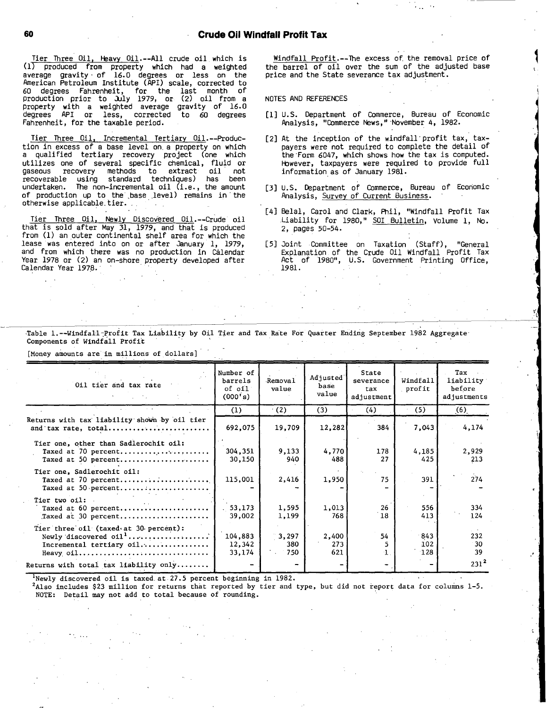## **60 .** Crude Oil Windfall Profit Tax

Tier Three Oil, Heavy Oil.--All crude oil which is **Crude Oil Crude Oil Crude Oil Crude Oil Crude Oil The Comment of Crude oil which is<br>
(1) produced from property which had a weighted<br>
average gravity of 16.0 degrees or less on the** American Petroleum Institute (API) scale, corrected to **60** degrees Fahrenheit, for the last month **of** production prior to July **1979,** or (2) oil from <sup>a</sup> property with a weighted average gravity of **16.0** degrees API or less, corrected to **<sup>60</sup>** degrees Fahrenheit, for the taxable period.

Tier Three Oil, Incremental Tertiary Oil.--Production in excess of <sup>a</sup> base level on. <sup>a</sup> property on which <sup>a</sup> qualified tertiary recovery project (one which utilizes one of several specific chemical, fluid or<br>qaseous recovery methods to extract oil not gaseous recovery methods to extract oil not recoverable using standard techniques) has been undertaken. The non-incremental oil (i.e. **,** the amount of production up to the base level) remains in **'** the otherwise applicable.tier.

Tier Three Oil, Newly Discovered Oil.--Crude oil that is sold after May **31, 1979,** and that is produced from **(1)** an outer continental shelf area for which the lease was entered into on or after January **1, 1979,** and from which there was no production in Calendar Year **1978** or (2) an on-shore property developed after Calendar Year 1978.

Windfall Profit.--The excess of the removal price of the barrel of oil over the sum of the adjusted base price and the State severance tax adjustment.

**NOTES AND REFERENCES**

- **[1] U.S.** Department of Commerce, Bureau of Economic Analysis, "Commerce News,"-November 4, **1982.**
- [2] At the inception of the windfall profit tax, taxpayers were not required to complete the detail of the-Form 6047, which shows how the tax is computed. Fbwever, taxpayers were required to provide full information as of January **1981.**
- **[31 U.S.** Department of Commerce, Bureau of Economic Analysis, Survey of Current Business.
- [41 Belal, Carol and Clark, Phil, "Windfall Profit Tax Liability for 1980," SOI Bulletin, Volume 1, No. 2, pages 50-54.

-Table l.--Windfal-l-profit Tax Liability **by** Oil Tier and Tax Rate For Quarter Ending September **1982** Aggregate-Components of Windfall Profit

[Money amounts are in millions of dollars] Oil tier and tax rate Number of barrels **of** oil **(000~s)** 'Removal value Adjusted' base value State severance tax adjustment Windfall profit Tax liability before adjustments **(1)** .(2) **(3)** (4) **(5) .(6)\_** Returns with tax liability shown by oil tier and'tax rate, total **......... I................. 692,075 19,709 12,282** 384 7,043 4,174 Tier one, other than Sadlerochit oil: Taxed at **70** percent **........................** 304,351 **9,133 4,770 178** 4,185 **29929 Taxed at 50 percent.....................** Tier one, Sadlerochit oil: Taxed at **70** percent **........................ 115,001** 2,416 **1,950 <sup>75</sup> 391** 274 Taxed at 50,percent**...................... - - - - -** Tier two oil: Taxed at **60** percent **...................... 53,173 1,595 1,013 26 556** 334 Taxed ai **30** percent **...................... 39,002 1,199 768 18** 413 124 Tier three'oil (taxed-at 30-percent): Newly'discovered oil**...............** <sup>o</sup> **...... 104,883 .3,297** 2,400 54 843 **232** Incremental tertiary oil **..................** 12,342 **380 273 <sup>5</sup>** 102 **30** Heavy,oil **................................. 33,174 750 621 1. 128 39** Returns with total tax liability only **........**  $\begin{vmatrix} -1 & -1 & -1 \\ 0 & -1 & -1 \end{vmatrix}$   $\begin{vmatrix} -1 & -1 & -1 \\ -1 & -1 & 231^2 \end{vmatrix}$ 'Newly discovered oil is taxed.at **27.5** percent beginning in **1982.**

2Also includes **\$23** million for returns that reported **by** tier and type, but did not report data for columns **1-5. NOTE:** Detail may not add to total because of rounding.

**<sup>[51</sup>** Joint Committee on Taxation (Staff), "General Explanation of the Crude Oil Windfall Profit Tax Act of 1980", U.S. Government Printing Office, **1981.**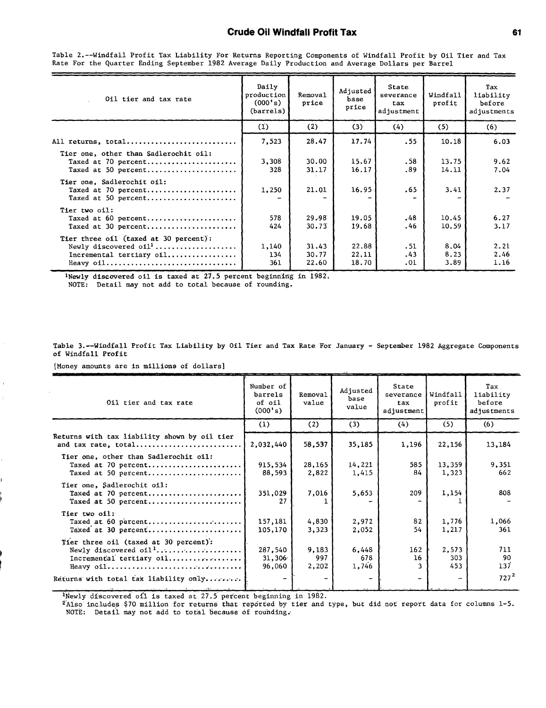### Crude Oil Windfall Profit Tax

Oil tier and tax rate Daily production **(000's)** (barrels) Removal price Adjusted base price State severance tax adjustment Windfall profit Tax liability before adjustments **U . )** (2) **(3)** (4) **(5) (6) All** returns, total **........................... 7,523 28.47 17.74 .55 10.18 6.03** Tier one, other than Sadlerochit oil: Taxed at **70** percent **...................... 3,308 30.00 15.67 .58 13.75 9.62 Taxed at 50 percent.....................** Tier one, Sadlerochit oil: Taxed at **70** percent **...................... 1,250** 21.01 **16.95 .65** 3.41 **2.37**  $T$ axed at 50 percent....................... Tier two oil: Taxed at **60** percent **...................... 578 29.,99 19.05** 48 10.45 **6.27** Taxed at **30** percent **......................** 424 **30.73 19.68** .46 **10.59 3.17** Tier three oil (taxed at **30** percent): Newly discovered oill **....................** 1,140 31.43 **22.88 .51** 8.04 2.21 Incremental tertiary oil **.................** 134 **30.77** 22.11 .43 **8.23** 2.46 Heavy oil **................................ 361 22.60 18.70 .01 3.89 1.16**

Table 2.--Windfall Profit Tax Liability For Returns Reporting Components of Windfall Profit **by** Oil Tier and Tax Rate For the Quarter Ending September **1982** Average Daily Production and Average Dollars per Barrel

'Newly discovered oil is taxed at **27.5** percent beginning in **1982.**

**NOTE:** Detail may not add to total because of rounding.

Table 3.--Windfall Profit Tax Liability **by** Oil Tier and Tax Rate For January **-** September **1982** Aggregate Components of Windfall Profit

[Money amounts are in millions of dollars]

÷

| Oil tier and tax rate                                                               | Number of<br>barrels<br>of oil<br>(000's) | Removal<br>value      | Adjusted<br>base<br>value | State<br>severance<br>tax.<br>adjustment | Windfall<br>profit  | Tax<br>liability<br>before<br>adjustments |
|-------------------------------------------------------------------------------------|-------------------------------------------|-----------------------|---------------------------|------------------------------------------|---------------------|-------------------------------------------|
|                                                                                     | (1)                                       | (2)                   | (3)                       | (4)                                      | (5)                 | (6)                                       |
| Returns with tax liability shown by oil tier<br>and tax rate, total                 | 2,032,440                                 | 58,537                | 35,185                    | 1,196                                    | 22,156              | 13,184                                    |
| Tier one, other than Sadlerochit oil:<br>Taxed at 70 percent<br>Taxed at 50 percent | 915,534<br>88,593                         | 28,165<br>2,822       | 14,221<br>1,415           | 585<br>84                                | 13,359<br>1,323     | 9,351<br>662                              |
| Tier one, Sadlerochit oil:<br>Taxed at 70 percent<br>Taxed at 50 percent            | 351,029<br>27                             | 7,016                 | 5,653                     | 209                                      | 1,154               | 808                                       |
| Tier two oil:<br>Taxed at 60 percent<br>Taxed at 30 percent                         | 157,181<br>105,170                        | 4,830<br>3,323        | 2,972<br>2,052            | 82<br>54                                 | 1,776<br>1,217      | 1,066<br>361                              |
| Tier three oil (taxed at 30 percent):<br>Incremental tertiary oil<br>Heavy oil      | 287.540<br>31,306<br>96,060               | 9,183<br>997<br>2,202 | 6,448<br>678<br>1,746     | 162<br>16                                | 2,573<br>303<br>453 | 711<br>-90<br>137                         |
| Returns with total tax liability only                                               |                                           |                       |                           |                                          | $\overline{a}$      | $727^2$                                   |
|                                                                                     |                                           |                       |                           |                                          |                     |                                           |

'Newly discovered of1 is taxed at 27.5 percent beginning in 1982.

Also includes **\$70** million for returns that reported **by** tier and type, but did not report data for columns **1-5.** NOTE: Detail may not add to total because of rounding.